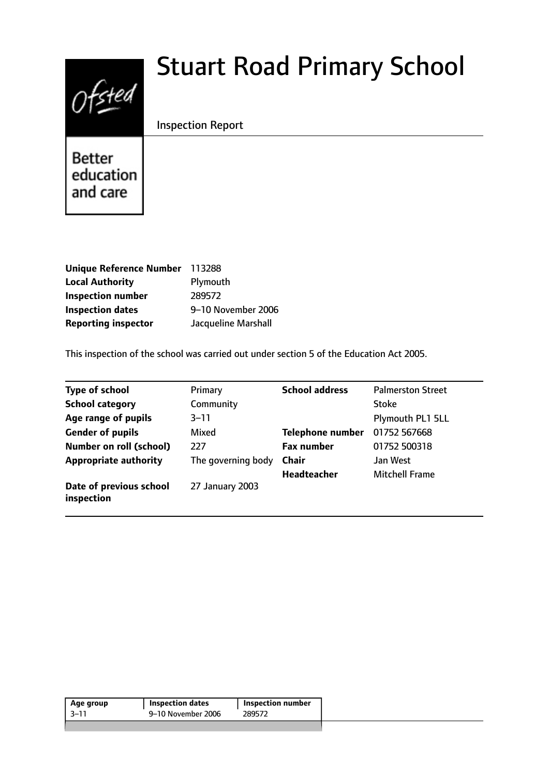# $0$ fsted

# Stuart Road Primary School

# Inspection Report

**Better** education and care

| Unique Reference Number 113288 |                     |
|--------------------------------|---------------------|
| <b>Local Authority</b>         | Plymouth            |
| <b>Inspection number</b>       | 289572              |
| <b>Inspection dates</b>        | 9-10 November 2006  |
| <b>Reporting inspector</b>     | Jacqueline Marshall |

This inspection of the school was carried out under section 5 of the Education Act 2005.

| <b>Type of school</b>                 | Primary            | <b>School address</b> | <b>Palmerston Street</b> |
|---------------------------------------|--------------------|-----------------------|--------------------------|
| <b>School category</b>                | Community          |                       | <b>Stoke</b>             |
| Age range of pupils                   | $3 - 11$           |                       | Plymouth PL1 5LL         |
| <b>Gender of pupils</b>               | Mixed              | Telephone number      | 01752 567668             |
| <b>Number on roll (school)</b>        | 227                | <b>Fax number</b>     | 01752 500318             |
| <b>Appropriate authority</b>          | The governing body | <b>Chair</b>          | Jan West                 |
|                                       |                    | <b>Headteacher</b>    | <b>Mitchell Frame</b>    |
| Date of previous school<br>inspection | 27 January 2003    |                       |                          |

| 9–10 November 2006<br>3–11<br>289572 | Age group | <b>Inspection dates</b> | <b>Inspection number</b> |  |
|--------------------------------------|-----------|-------------------------|--------------------------|--|
|                                      |           |                         |                          |  |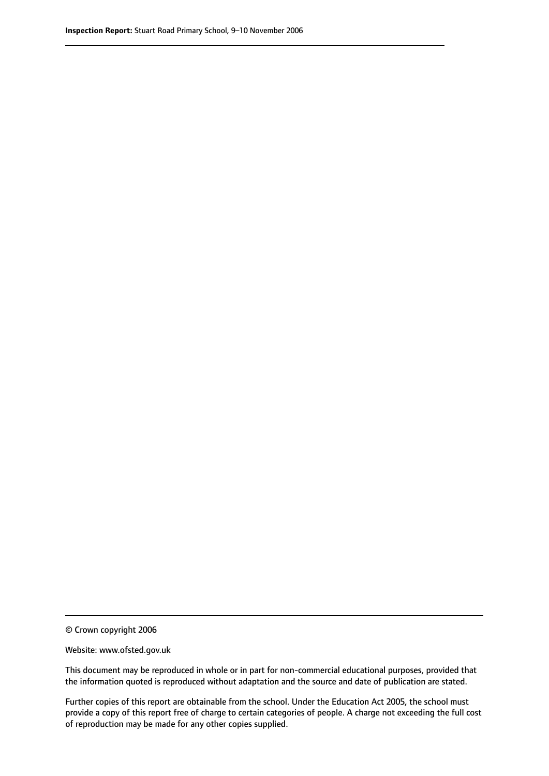© Crown copyright 2006

Website: www.ofsted.gov.uk

This document may be reproduced in whole or in part for non-commercial educational purposes, provided that the information quoted is reproduced without adaptation and the source and date of publication are stated.

Further copies of this report are obtainable from the school. Under the Education Act 2005, the school must provide a copy of this report free of charge to certain categories of people. A charge not exceeding the full cost of reproduction may be made for any other copies supplied.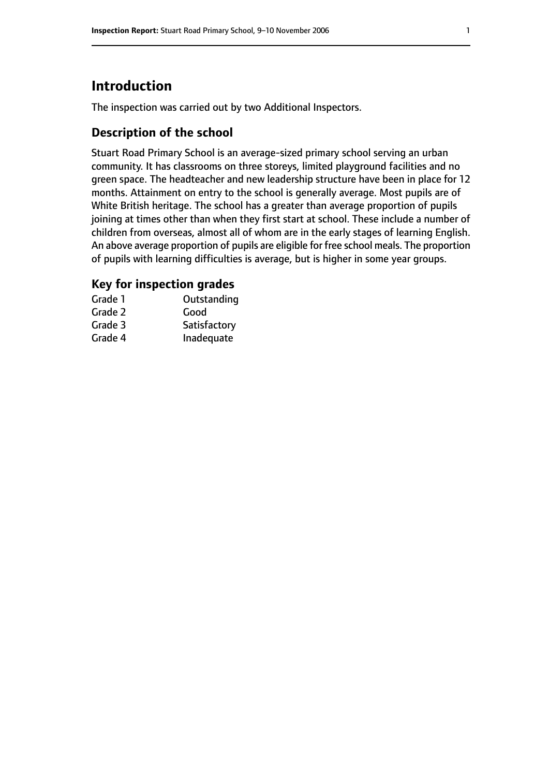# **Introduction**

The inspection was carried out by two Additional Inspectors.

#### **Description of the school**

Stuart Road Primary School is an average-sized primary school serving an urban community. It has classrooms on three storeys, limited playground facilities and no green space. The headteacher and new leadership structure have been in place for 12 months. Attainment on entry to the school is generally average. Most pupils are of White British heritage. The school has a greater than average proportion of pupils joining at times other than when they first start at school. These include a number of children from overseas, almost all of whom are in the early stages of learning English. An above average proportion of pupils are eligible for free school meals. The proportion of pupils with learning difficulties is average, but is higher in some year groups.

# **Key for inspection grades**

| Grade 1 | Outstanding  |
|---------|--------------|
| Grade 2 | Good         |
| Grade 3 | Satisfactory |
| Grade 4 | Inadequate   |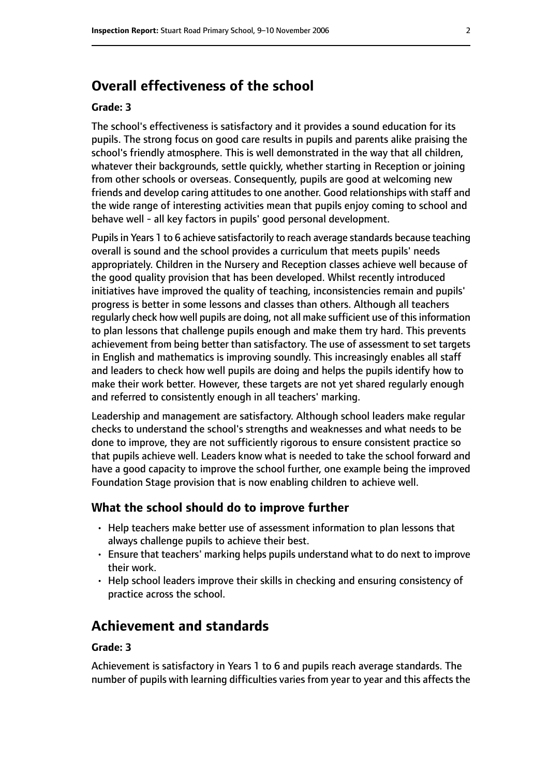# **Overall effectiveness of the school**

#### **Grade: 3**

The school's effectiveness is satisfactory and it provides a sound education for its pupils. The strong focus on good care results in pupils and parents alike praising the school's friendly atmosphere. This is well demonstrated in the way that all children, whatever their backgrounds, settle quickly, whether starting in Reception or joining from other schools or overseas. Consequently, pupils are good at welcoming new friends and develop caring attitudes to one another. Good relationships with staff and the wide range of interesting activities mean that pupils enjoy coming to school and behave well - all key factors in pupils' good personal development.

Pupils in Years 1 to 6 achieve satisfactorily to reach average standards because teaching overall is sound and the school provides a curriculum that meets pupils' needs appropriately. Children in the Nursery and Reception classes achieve well because of the good quality provision that has been developed. Whilst recently introduced initiatives have improved the quality of teaching, inconsistencies remain and pupils' progress is better in some lessons and classes than others. Although all teachers regularly check how well pupils are doing, not all make sufficient use of this information to plan lessons that challenge pupils enough and make them try hard. This prevents achievement from being better than satisfactory. The use of assessment to set targets in English and mathematics is improving soundly. This increasingly enables all staff and leaders to check how well pupils are doing and helps the pupils identify how to make their work better. However, these targets are not yet shared regularly enough and referred to consistently enough in all teachers' marking.

Leadership and management are satisfactory. Although school leaders make regular checks to understand the school's strengths and weaknesses and what needs to be done to improve, they are not sufficiently rigorous to ensure consistent practice so that pupils achieve well. Leaders know what is needed to take the school forward and have a good capacity to improve the school further, one example being the improved Foundation Stage provision that is now enabling children to achieve well.

#### **What the school should do to improve further**

- Help teachers make better use of assessment information to plan lessons that always challenge pupils to achieve their best.
- Ensure that teachers' marking helps pupils understand what to do next to improve their work.
- Help school leaders improve their skills in checking and ensuring consistency of practice across the school.

# **Achievement and standards**

#### **Grade: 3**

Achievement is satisfactory in Years 1 to 6 and pupils reach average standards. The number of pupils with learning difficulties varies from year to year and this affects the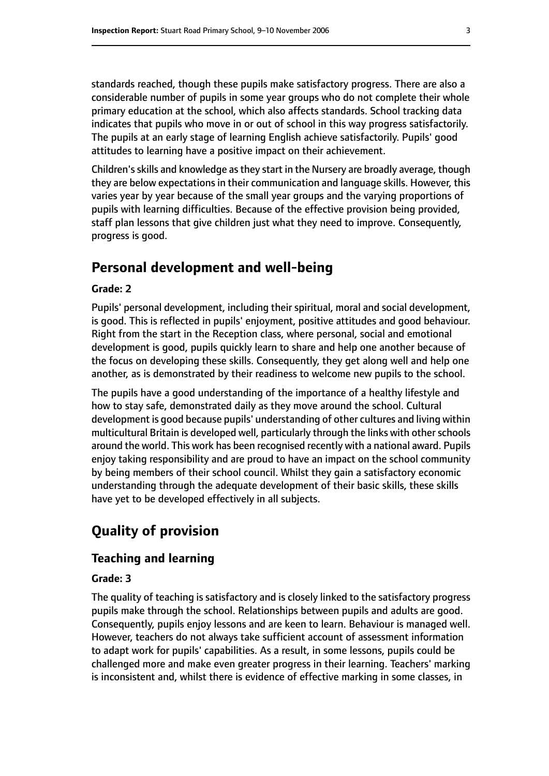standards reached, though these pupils make satisfactory progress. There are also a considerable number of pupils in some year groups who do not complete their whole primary education at the school, which also affects standards. School tracking data indicates that pupils who move in or out of school in this way progress satisfactorily. The pupils at an early stage of learning English achieve satisfactorily. Pupils' good attitudes to learning have a positive impact on their achievement.

Children'sskills and knowledge asthey start in the Nursery are broadly average, though they are below expectations in their communication and language skills. However, this varies year by year because of the small year groups and the varying proportions of pupils with learning difficulties. Because of the effective provision being provided, staff plan lessons that give children just what they need to improve. Consequently, progress is good.

## **Personal development and well-being**

#### **Grade: 2**

Pupils' personal development, including their spiritual, moral and social development, is good. This is reflected in pupils' enjoyment, positive attitudes and good behaviour. Right from the start in the Reception class, where personal, social and emotional development is good, pupils quickly learn to share and help one another because of the focus on developing these skills. Consequently, they get along well and help one another, as is demonstrated by their readiness to welcome new pupils to the school.

The pupils have a good understanding of the importance of a healthy lifestyle and how to stay safe, demonstrated daily as they move around the school. Cultural development is good because pupils' understanding of other cultures and living within multicultural Britain is developed well, particularly through the links with other schools around the world. This work has been recognised recently with a national award. Pupils enjoy taking responsibility and are proud to have an impact on the school community by being members of their school council. Whilst they gain a satisfactory economic understanding through the adequate development of their basic skills, these skills have yet to be developed effectively in all subjects.

# **Quality of provision**

#### **Teaching and learning**

#### **Grade: 3**

The quality of teaching is satisfactory and is closely linked to the satisfactory progress pupils make through the school. Relationships between pupils and adults are good. Consequently, pupils enjoy lessons and are keen to learn. Behaviour is managed well. However, teachers do not always take sufficient account of assessment information to adapt work for pupils' capabilities. As a result, in some lessons, pupils could be challenged more and make even greater progress in their learning. Teachers' marking is inconsistent and, whilst there is evidence of effective marking in some classes, in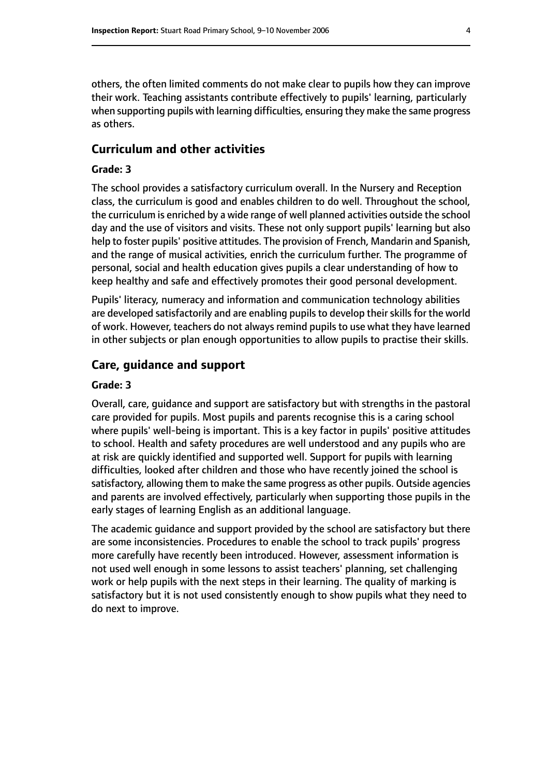others, the often limited comments do not make clear to pupils how they can improve their work. Teaching assistants contribute effectively to pupils' learning, particularly when supporting pupils with learning difficulties, ensuring they make the same progress as others.

#### **Curriculum and other activities**

#### **Grade: 3**

The school provides a satisfactory curriculum overall. In the Nursery and Reception class, the curriculum is good and enables children to do well. Throughout the school, the curriculum is enriched by a wide range of well planned activities outside the school day and the use of visitors and visits. These not only support pupils' learning but also help to foster pupils' positive attitudes. The provision of French, Mandarin and Spanish, and the range of musical activities, enrich the curriculum further. The programme of personal, social and health education gives pupils a clear understanding of how to keep healthy and safe and effectively promotes their good personal development.

Pupils' literacy, numeracy and information and communication technology abilities are developed satisfactorily and are enabling pupils to develop their skills for the world of work. However, teachers do not always remind pupils to use what they have learned in other subjects or plan enough opportunities to allow pupils to practise their skills.

#### **Care, guidance and support**

#### **Grade: 3**

Overall, care, guidance and support are satisfactory but with strengths in the pastoral care provided for pupils. Most pupils and parents recognise this is a caring school where pupils' well-being is important. This is a key factor in pupils' positive attitudes to school. Health and safety procedures are well understood and any pupils who are at risk are quickly identified and supported well. Support for pupils with learning difficulties, looked after children and those who have recently joined the school is satisfactory, allowing them to make the same progress as other pupils. Outside agencies and parents are involved effectively, particularly when supporting those pupils in the early stages of learning English as an additional language.

The academic guidance and support provided by the school are satisfactory but there are some inconsistencies. Procedures to enable the school to track pupils' progress more carefully have recently been introduced. However, assessment information is not used well enough in some lessons to assist teachers' planning, set challenging work or help pupils with the next steps in their learning. The quality of marking is satisfactory but it is not used consistently enough to show pupils what they need to do next to improve.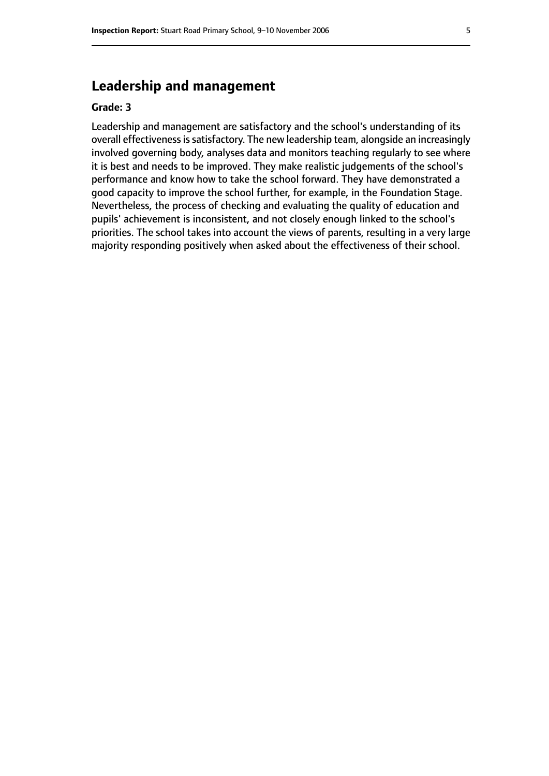# **Leadership and management**

#### **Grade: 3**

Leadership and management are satisfactory and the school's understanding of its overall effectiveness is satisfactory. The new leadership team, alongside an increasingly involved governing body, analyses data and monitors teaching regularly to see where it is best and needs to be improved. They make realistic judgements of the school's performance and know how to take the school forward. They have demonstrated a good capacity to improve the school further, for example, in the Foundation Stage. Nevertheless, the process of checking and evaluating the quality of education and pupils' achievement is inconsistent, and not closely enough linked to the school's priorities. The school takes into account the views of parents, resulting in a very large majority responding positively when asked about the effectiveness of their school.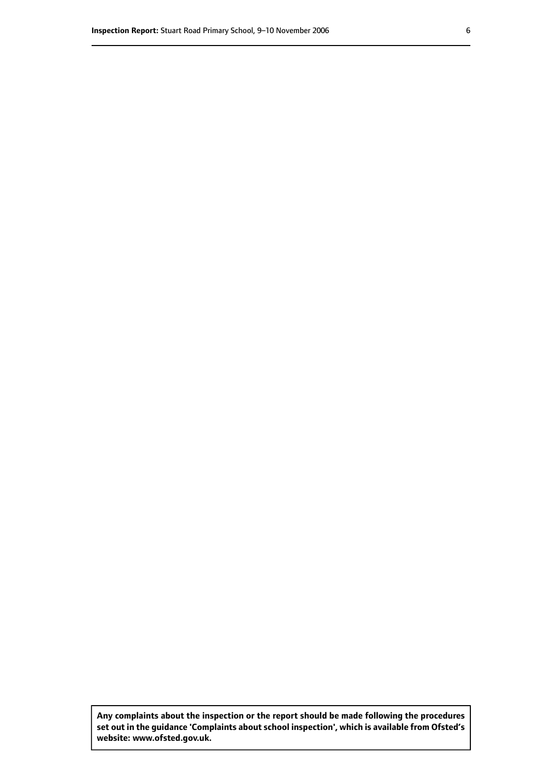**Any complaints about the inspection or the report should be made following the procedures set out inthe guidance 'Complaints about school inspection', whichis available from Ofsted's website: www.ofsted.gov.uk.**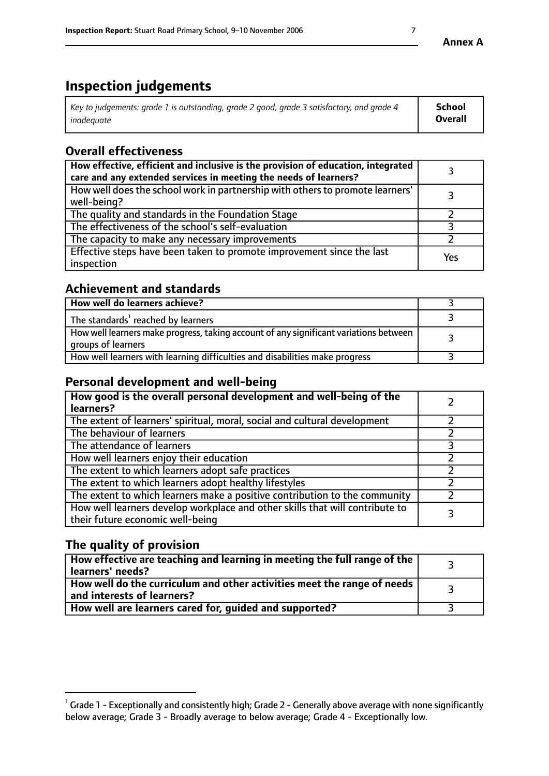# **Inspection judgements**

| Key to judgements: grade 1 is outstanding, grade 2 good, grade 3 satisfactory, and grade 4 | School         |
|--------------------------------------------------------------------------------------------|----------------|
| inadeauate                                                                                 | <b>Overall</b> |

# **Overall effectiveness**

| How effective, efficient and inclusive is the provision of education, integrated<br>care and any extended services in meeting the needs of learners? |     |
|------------------------------------------------------------------------------------------------------------------------------------------------------|-----|
| How well does the school work in partnership with others to promote learners'<br>well-being?                                                         |     |
| The quality and standards in the Foundation Stage                                                                                                    |     |
| The effectiveness of the school's self-evaluation                                                                                                    |     |
| The capacity to make any necessary improvements                                                                                                      |     |
| Effective steps have been taken to promote improvement since the last<br>inspection                                                                  | Yes |

## **Achievement and standards**

| How well do learners achieve?                                                                               |  |
|-------------------------------------------------------------------------------------------------------------|--|
| The standards <sup>1</sup> reached by learners                                                              |  |
| How well learners make progress, taking account of any significant variations between<br>groups of learners |  |
| How well learners with learning difficulties and disabilities make progress                                 |  |

# **Personal development and well-being**

| How good is the overall personal development and well-being of the<br>learners?                                  |  |
|------------------------------------------------------------------------------------------------------------------|--|
| The extent of learners' spiritual, moral, social and cultural development                                        |  |
| The behaviour of learners                                                                                        |  |
| The attendance of learners                                                                                       |  |
| How well learners enjoy their education                                                                          |  |
| The extent to which learners adopt safe practices                                                                |  |
| The extent to which learners adopt healthy lifestyles                                                            |  |
| The extent to which learners make a positive contribution to the community                                       |  |
| How well learners develop workplace and other skills that will contribute to<br>their future economic well-being |  |

# **The quality of provision**

| $\Box$ How effective are teaching and learning in meeting the full range of the $\Box$<br>  learners' needs?        |  |
|---------------------------------------------------------------------------------------------------------------------|--|
| $\mid$ How well do the curriculum and other activities meet the range of needs<br>$\mid$ and interests of learners? |  |
| How well are learners cared for, guided and supported?                                                              |  |

 $^1$  Grade 1 - Exceptionally and consistently high; Grade 2 - Generally above average with none significantly below average; Grade 3 - Broadly average to below average; Grade 4 - Exceptionally low.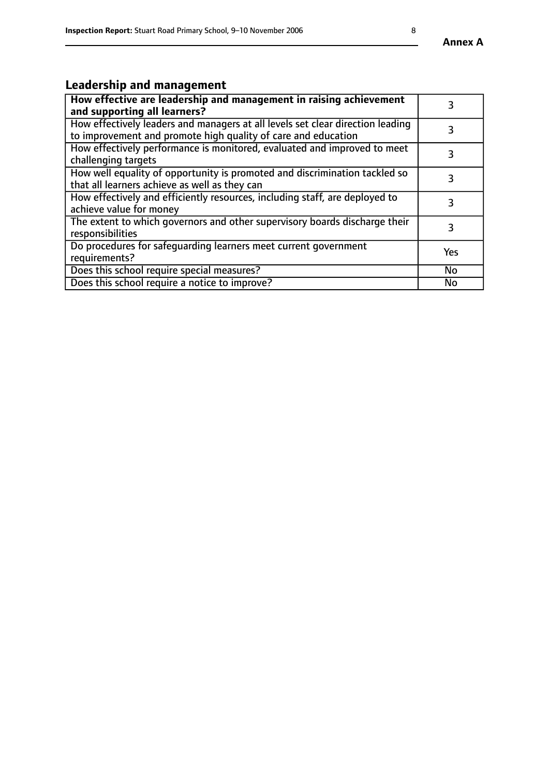# **Leadership and management**

| How effective are leadership and management in raising achievement<br>and supporting all learners?                                              |           |
|-------------------------------------------------------------------------------------------------------------------------------------------------|-----------|
| How effectively leaders and managers at all levels set clear direction leading<br>to improvement and promote high quality of care and education |           |
| How effectively performance is monitored, evaluated and improved to meet<br>challenging targets                                                 | 3         |
| How well equality of opportunity is promoted and discrimination tackled so<br>that all learners achieve as well as they can                     |           |
| How effectively and efficiently resources, including staff, are deployed to<br>achieve value for money                                          | 3         |
| The extent to which governors and other supervisory boards discharge their<br>responsibilities                                                  | 3         |
| Do procedures for safequarding learners meet current government<br>requirements?                                                                | Yes       |
| Does this school require special measures?                                                                                                      | No        |
| Does this school require a notice to improve?                                                                                                   | <b>No</b> |